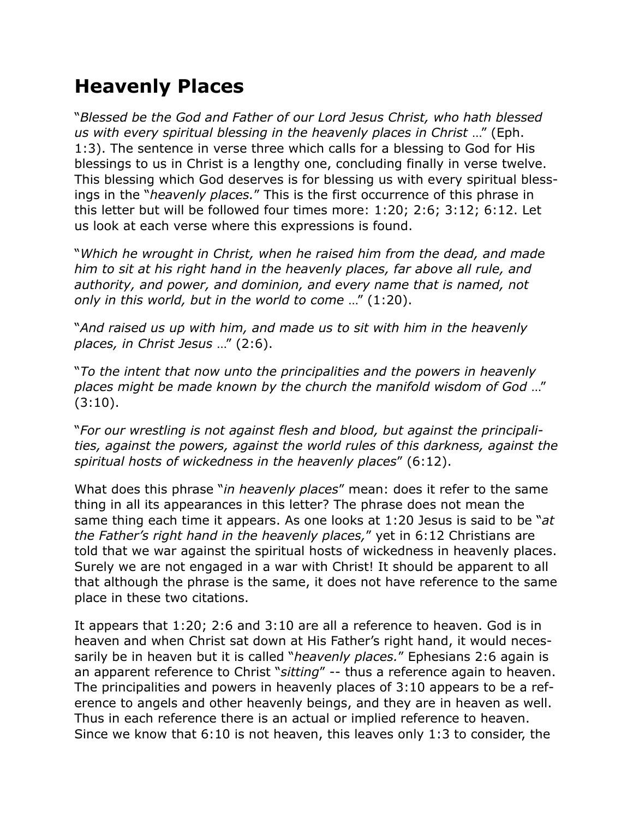## **Heavenly Places**

"*Blessed be the God and Father of our Lord Jesus Christ, who hath blessed us with every spiritual blessing in the heavenly places in Christ* …" (Eph. 1:3). The sentence in verse three which calls for a blessing to God for His blessings to us in Christ is a lengthy one, concluding finally in verse twelve. This blessing which God deserves is for blessing us with every spiritual blessings in the "*heavenly places.*" This is the first occurrence of this phrase in this letter but will be followed four times more: 1:20; 2:6; 3:12; 6:12. Let us look at each verse where this expressions is found.

"*Which he wrought in Christ, when he raised him from the dead, and made him to sit at his right hand in the heavenly places, far above all rule, and authority, and power, and dominion, and every name that is named, not only in this world, but in the world to come* …" (1:20).

"*And raised us up with him, and made us to sit with him in the heavenly places, in Christ Jesus* …" (2:6).

"*To the intent that now unto the principalities and the powers in heavenly places might be made known by the church the manifold wisdom of God* …" (3:10).

"*For our wrestling is not against flesh and blood, but against the principalities, against the powers, against the world rules of this darkness, against the spiritual hosts of wickedness in the heavenly places*" (6:12).

What does this phrase "*in heavenly places*" mean: does it refer to the same thing in all its appearances in this letter? The phrase does not mean the same thing each time it appears. As one looks at 1:20 Jesus is said to be "*at the Father's right hand in the heavenly places,*" yet in 6:12 Christians are told that we war against the spiritual hosts of wickedness in heavenly places. Surely we are not engaged in a war with Christ! It should be apparent to all that although the phrase is the same, it does not have reference to the same place in these two citations.

It appears that 1:20; 2:6 and 3:10 are all a reference to heaven. God is in heaven and when Christ sat down at His Father's right hand, it would necessarily be in heaven but it is called "*heavenly places.*" Ephesians 2:6 again is an apparent reference to Christ "*sitting*" -- thus a reference again to heaven. The principalities and powers in heavenly places of 3:10 appears to be a reference to angels and other heavenly beings, and they are in heaven as well. Thus in each reference there is an actual or implied reference to heaven. Since we know that 6:10 is not heaven, this leaves only 1:3 to consider, the